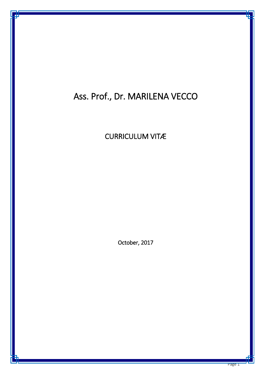# Ass. Prof., Dr. MARILENA VECCO

CURRICULUM VITÆ

October, 2017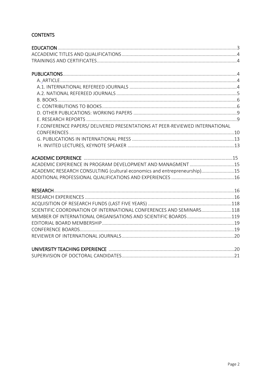# **CONTENTS**

| F.CONFERENCE PAPERS/ DELIVERED PRESENTATIONS AT PEER-REVIEWED INTERNATIONAL |  |
|-----------------------------------------------------------------------------|--|
|                                                                             |  |
|                                                                             |  |
|                                                                             |  |
|                                                                             |  |
|                                                                             |  |
| ACADEMIC RESEARCH CONSULTING (cultural economics and entrepreneurship)15    |  |
|                                                                             |  |
|                                                                             |  |
|                                                                             |  |
|                                                                             |  |
| SCIENTIFIC COORDINATION OF INTERNATIONAL CONFERENCES AND SEMINARS118        |  |
| MEMBER OF INTERNATIONAL ORGANISATIONS AND SCIENTIFIC BOARDS119              |  |
|                                                                             |  |
|                                                                             |  |
|                                                                             |  |
|                                                                             |  |
|                                                                             |  |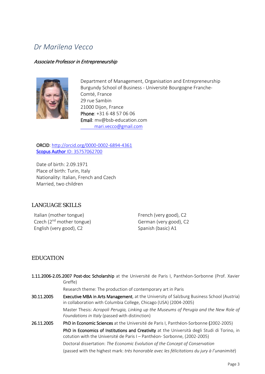# *Dr Marilena Vecco*

#### Associate Professor in Entrepreneurship



Department of Management, Organisation and Entrepreneurship Burgundy School of Business - Université Bourgogne Franche-Comté, France 29 rue Sambin 21000 Dijon, France Phone: +31 6 48 57 06 06 Email: mv@bsb-education.com mari.vecco@gmail.com

ORCID: http:/[/orcid.org/0000-0002-6894-4361](http://orcid.org/0000-0002-6894-4361) [Scopus Author](http://www.scopus.com/inward/authorDetails.url?authorID=35757062700&partnerID=MN8TOARS) [ID: 35757062700](http://www.scopus.com/inward/authorDetails.url?authorID=35757062700&partnerID=MN8TOARS)

Date of birth: 2.09.1971 Place of birth: Turin, Italy Nationality: Italian, French and Czech Married, two children

# LANGUAGE SKILLS

Italian (mother tongue) Czech (2nd mother tongue) English (very good), C2

French (very good), C2 German (very good), C2 Spanish (basic) A1

# <span id="page-2-0"></span>EDUCATION

|            | 1.11.2006-2.05.2007 Post-doc Scholarship at the Université de Paris I, Panthéon-Sorbonne (Prof. Xavier<br>Greffe)                                                       |
|------------|-------------------------------------------------------------------------------------------------------------------------------------------------------------------------|
|            | Research theme: The production of contemporary art in Paris                                                                                                             |
| 30.11.2005 | Executive MBA in Arts Management, at the University of Salzburg Business School (Austria)<br>in collaboration with Columbia College, Chicago (USA) (2004-2005)          |
|            | Master Thesis: Acropoli Perugia, Linking up the Museums of Perugia and the New Role of<br>Foundations in Italy (passed with distinction)                                |
| 26.11.2005 | PhD in Economic Sciences at the Université de Paris I, Panthéon-Sorbonne (2002-2005)                                                                                    |
|            | PhD in Economics of Institutions and Creativity at the Università degli Studi di Torino, in<br>cotution with the Université de Paris I - Panthéon-Sorbonne, (2002-2005) |
|            | Doctoral dissertation: The Economic Evolution of the Concept of Conservation                                                                                            |
|            | (passed with the highest mark: très honorable avec les félicitations du jury à l'unanimité)                                                                             |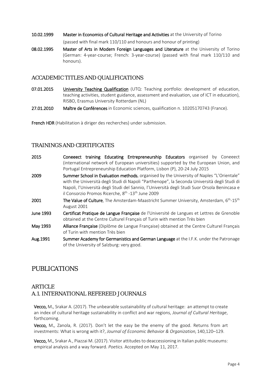- 10.02.1999 Master in Economics of Cultural Heritage and Activities at the University of Torino (passed with final mark 110/110 and honours and honour of printing)
- 08.02.1995 Master of Arts in Modern Foreign Languages and Literature at the University of Torino (German: 4-year-course; French: 3-year-course) (passed with final mark 110/110 and honours).

# <span id="page-3-0"></span>ACCADEMIC TITLES AND QUALIFICATIONS

- 07.01.2015 University Teaching Qualification (UTQ: Teaching portfolio: development of education, teaching activities, student guidance, assessment and evaluation, use of ICT in education), RISBO, Erasmus University Rotterdam (NL)
- 27.01.2010 Maître de Conférences in Economic sciences, qualification n. 10205170743 (France).

French HDR (Habilitation à diriger des recherches) under submission.

# <span id="page-3-1"></span>TRAININGS AND CERTIFICATES

- 2015 **Coneeect training Educating Entrepreneurship Educators** organised by Coneeect (international network of European universities) supported by the European Union, and Portugal Entrepreneurship Education Platform, Lisbon (P), 20-24 July 2015
- 2009 Summer School in Evaluation methods, organised by the University of Naples "L'Orientale" with the Università degli Studi di Napoli "Parthenope", la Seconda Università degli Studi di Napoli, l'Università degli Studi del Sannio, l'Università degli Studi Suor Orsola Benincasa e il Consorzio Promos Ricerche, 8<sup>th</sup> -13<sup>th</sup> June 2009
- **2001** The Value of Culture, The Amsterdam-Maastricht Summer University, Amsterdam,  $6<sup>th</sup>$ -15<sup>th</sup> August 2001
- June 1993 Certificat Pratique de Langue Française de l'Université de Langues et Lettres de Grenoble obtained at the Centre Culturel Français of Turin with mention Très bien
- May 1993 Alliance Française (Diplôme de Langue Française) obtained at the Centre Culturel Français of Turin with mention Très bien
- Aug. 1991 Summer Academy for Germanistics and German Language at the I.F.K. under the Patronage of the University of Salzburg: very good.

# PUBLICATIONS

# <span id="page-3-3"></span><span id="page-3-2"></span>ARTICLE A.1. INTERNATIONAL REFEREED JOURNALS

Vecco, M., Srakar A. (2017). The unbearable sustainability of cultural heritage: an attempt to create an index of cultural heritage sustainability in conflict and war regions, *Journal of Cultural Heritage*, forthcoming.

Vecco, M., Zanola, R. (2017). Don't let the easy be the enemy of the good. Returns from art investments: What is wrong with it?, *Journal of Economic Behavior & Organization,* 140,120–129.

Vecco, M., Srakar A., Piazzai M. (2017). Visitor attitudes to deaccessioning in Italian public museums: empirical analysis and a way forward. *Poetics.* Accepted on May 11, 2017.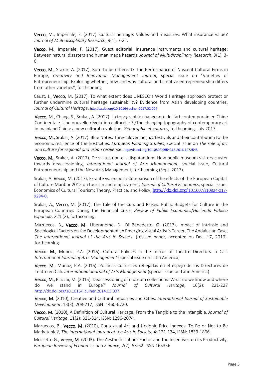Vecco, M., Imperiale, F. (2017). Cultural heritage: Values and measures. What insurance value? *Journal of Multidisciplinary Research*, 9(1), 7-22.

Vecco, M., Imperiale, F. (2017). Guest editorial: Insurance instruments and cultural heritage: Between natural disasters and human made hazards, *Journal of Multidisciplinary Research*, 9(1), 3- 6.

Vecco, M., Srakar, A. (2017). Born to be different? The Performance of Nascent Cultural Firms in Europe, *Creativity and Innovation Management Journal*, special issue on "Varieties of Entrepreneurship: Exploring whether, how and why cultural and creative entrepreneurship differs from other varieties", forthcoming

Caust, J., Vecco, M. (2017). To what extent does UNESCO's World Heritage approach protect or further undermine cultural heritage sustainability? Evidence from Asian developing countries, *Journal of Cultural Heritage*. [http://dx.doi.org/10.1016/j.culher.2017.02.004](https://outlookweb.eur.nl/owa/redir.aspx?C=XJKtuXwz52_97Dnes6cJKb9lMRBunPzAJdXKnoQD4dfxxqZi23HUCA..&URL=http%3a%2f%2fdx.doi.org%2f10.1016%2fj.culher.2017.02.004)

Vecco, M., Chang, S., Srakar, A. (2017). La topographie changeante de l'art contemporain en Chine Continentale. Une nouvelle révolution culturelle ? /The changing topography of contemporary art in mainland China: a new cultural revolution. *Géographie et cultures*, forthcoming, July 2017.

Vecco, M., Srakar, A. (2017). Blue Notes: Three Slovenian jazz festivals and their contribution to the economic resilience of the host cities. *European Planning Studies*, special issue on *The role of art and culture for regional and urban resilience,* <http://dx.doi.org/10.1080/09654313.2016.1272548>

Vecco, M., Srakar, A. (2017). De visitus non est disputandum: How public museum visitors cluster towards deaccessioning, *International Journal of Arts Management*, special issue, Cultural Entrepreneurship and the New Arts Management, forthcoming (Sept. 2017).

Srakar, A. Vecco, M. (2017), Ex-ante vs. ex-post: Comparison of the effects of the European Capital of Culture Maribor 2012 on tourism and employment, *Journal of Cultural Economics*, special issue: Economics of Cultural Tourism: Theory, Practice, and Policy, http://dx.doi.org/10.1007/s10824-017- 9294-0.

Srakar, A., Vecco, M. (2017). The Tale of the Cuts and Raises: Public Budgets for Culture in the European Countries During the Financial Crisis, *Review of Public Economics*/*Hacienda Pública Española*, 221 (2), forthcoming.

Mazuecos, B., Vecco, M., Liberanome, D., Di Benedetto, G. (2017). Impact of Intrinsic and Sociological Factors on the Development of an Emerging Visual Artist's Career, The Andalusian Case, *The International Journal of the Arts in Society*, (revised paper, accepted on Dec. 17, 2016), forthcoming.

Vecco. M., Munoz, P.A. (2016). Cultural Policies in the mirror of Theatre Directors in Cali. *International Journal of Arts Management* (special issue on Latin America)

Vecco. M., Munoz, P.A. (2016). Políticas Culturales reflejadas en el espejo de los Directores de Teatro en Cali. *International Journal of Arts Management* (special issue on Latin America)

Vecco, M., Piazzai, M. (2015). Deaccessioning of museum collections: What do we know and where do we stand in Europe? *Journal of Cultural Heritage*, 16(2): 221-227 <http://dx.doi.org/10.1016/j.culher.2014.03.007>

Vecco, M. (2010), Creative and Cultural Industries and Cities, *International Journal of Sustainable Development*, 13(3): 208-217, ISSN: 1460-6720.

Vecco, M. (2010), A Definition of Cultural Heritage: From the Tangible to the Intangible, *Journal of Cultural Heritage*, 11(2): 321-324, ISSN: 1296-2074.

Mazuecos, B., Vecco, M. (2010), Contextual Art and Hedonic Price Indexes: To Be or Not to Be Marketable?, *The International Journal of the Arts in Society*, 4: 121-134, ISSN: 1833-1866.

Mossetto G., Vecco, M. (2003). The Aesthetic Labour Factor and the Incentives on its Productivity, *European Review of Economics and Finance*, 2(2): 53-62. ISSN 165356.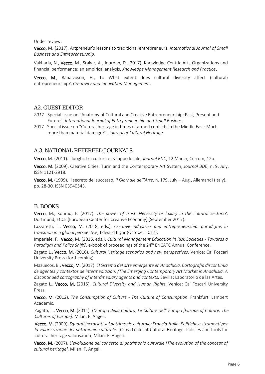#### Under review:

Vecco, M. (2017). Artpreneur's lessons to traditional entrepreneurs. *International Journal of Small Business and Entrepreneurship.*

Vakharia, N., Vecco, M., Srakar, A., Jourdan, D. (2017). Knowledge-Centric Arts Organizations and financial performance: an empirical analysis, *Knowledge Management Research and Practice*.

Vecco, M., Ranaivoson, H., To What extent does cultural diversity affect (cultural) entrepreneurship?, *Creativity and Innovation Management.*

### A2. GUEST EDITOR

- <span id="page-5-0"></span>*2017* Special issue on "Anatomy of Cultural and Creative Entrepreneurship: Past, Present and Future", *International Journal of Entrepreneurship and Small Business*
- 2017 Special issue on "Cultural heritage in times of armed conflicts in the Middle East: Much more than material damage?", *Journal of Cultural Heritage*.

### A.3. NATIONAL REFEREED JOURNALS

Vecco, M. (2011). I luoghi: tra cultura e sviluppo locale, *Journal BDC*, 12 March, Cd-rom, 12p.

Vecco, M. (2009). Creative Cities: Turin and the Contemporary Art System, *Journal BDC*, n. 9, July, ISSN 1121-2918.

Vecco, M. (1999). Il secreto del successo, *Il Giornale dell'Arte,* n. 179, July – Aug., Allemandi (Italy), pp. 28-30. ISSN 03940543.

#### <span id="page-5-1"></span>B. BOOKS

Vecco, M., Konrad, E. (2017). *The power of trust: Necessity or luxury in the cultural sectors?*, Dortmund, ECCE (European Center for Creative Economy) (September 2017).

Lazzaretti, L., Vecco, M. (2018, eds.). *Creative industries and entrepreneurship: paradigms in transition in a global perspective,* Edward Elgar (October 2017).

Imperiale, F., Vecco, M. (2016, eds.). *Cultural Management Education in Risk Societies - Towards a*  Paradigm and Policy Shift?, e-book of proceedings of the 24<sup>th</sup> ENCATC Annual Conference.

Zagato L., Vecco, M. (2016). *Cultural Heritage scenarios and new perspectives*. Venice: Ca' Foscari University Press (forthcoming).

Mazuecos, B., Vecco, M. (2017). *El Sistema del arte emergente en Andalucia. Cartografia discontinua de agentes y contextos de intermediacion.* /*The Emerging Contemporary Art Market in Andalusia. A discontinued cartography of interdmediary agents and contexts.* Sevilla: Laboratorio de las Artes.

Zagato L., Vecco, M. (2015). *Cultural Diversity and Human Rights*. Venice: Ca' Foscari University Press.

Vecco, M. (2012). *The Consumption of Culture - The Culture of Consumption*. Frankfurt: Lambert Academic.

Zagato, L., Vecco, M. (2011)*. L'Europa della Cultura, Le Culture dell' Europa [Europe of Culture, The Cultures of Europe]*. Milan: F. Angeli.

Vecco, M. (2009). *Sguardi incrociati sul patrimonio culturale: Francia-Italia. Politiche e strumenti per la valorizzazione del patrimonio culturale*. [Cross Looks at Cultural Heritage. Policies and tools for cultural heritage valorisation] Milan: F. Angeli.

Vecco, M. (2007). *L'evoluzione del concetto di patrimonio culturale [The evolution of the concept of cultural heritage].* Milan: F. Angeli.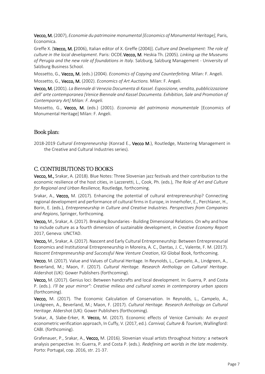Vecco, M. (2007), *Economie du patrimoine monumental [Economics of Monumental Heritage]*, Paris, Economica.

Greffe X. [Vecco, M. (2006), Italian editor of X. Greffe (2004)]. *Culture and Development: The role of culture in the local development*. Paris: OCDE.Vecco, M. Heskia Th. (2005). *Linking up the Museums of Perugia and the new role of foundations in Italy*. Salzburg, Salzburg Management - University of Salzburg Business School.

Mossetto, G., Vecco, M. (eds.) (2004). *Economics of Copying and Counterfeiting*. Milan: F. Angeli.

Mossetto, G., Vecco, M. (2002). *Economics of Art Auctions.* Milan: F. Angeli.

Vecco, M. (2001). *La Biennale di Venezia Documenta di Kassel. Esposizione, vendita, pubblicizzazione dell' arte contemporanea [Venice Biennale and Kassel Documenta. Exhibition, Sale and Promotion of Contemporary Art] Milan: F. Angeli.*

Mossetto, G., Vecco, M. (eds.) (2001). *Economia del patrimonio monumentale* [Economics of Monumental Heritage] Milan: F. Angeli.

# Book plan:

2018-2019 *Cultural Entrepreneurship* (Konrad E., Vecco M.), Routledge, Mastering Management in the Creative and Cultural Industries series).

# <span id="page-6-0"></span>C. CONTRIBUTIONS TO BOOKS

Vecco, M., Srakar, A. (2018). Blue Notes: Three Slovenian jazz festivals and their contribution to the economic resilience of the host cities, in Lazzeretti, L., Cook, Ph. (eds.), *The Role of Art and Culture for Regional and Urban Resilience,* Routledge, forthcoming.

Srakar, A., Vecco, M. (2017). Enhancing the potential of cultural entrepreneurship? Connecting regional development and performance of cultural firms in Europe, in Innerhofer, E., Perchlaner, H., Borin, E. (eds.), *Entrepreneurship in Culture and Creative Industries. Perspectives from Companies and Regions*, Springer, forthcoming.

Vecco, M., Srakar, A. (2017). Breaking Boundaries - Building Dimensional Relations. On why and how to include culture as a fourth dimension of sustainable development, in *Creative Economy Report* 2017, Geneva: UNCTAD.

Vecco, M., Srakar, A. (2017). Nascent and Early Cultural Entrepreneurship: Between Entrepreneurial Economics and Institutional Entrepreneurship in Moreira, A. C., Dantas, J. C., Valente, F. M. (2017). *Nascent Entrepreneurship and Successful New Venture Creation*, IGI Global Book, forthcoming.

Vecco, M. (2017). Value and Values of Cultural Heritage. In Reynolds, L., Campelo, A., Lindgreen, A., Beverland, M.; Maon, F. (2017). *Cultural Heritage. Research Anthology on Cultural Heritage*. Aldershot (UK): Gower Publishers (forthcoming).

Vecco, M. (2017). Genius loci: Between handcrafts and local development. In: Guerra, P. and Costa P. (eds.). *I'll be your mirror": Creative milieus and cultural scenes in contemporary urban spaces* (forthcoming).

Vecco, M. (2017). The Economic Calculation of Conservation. In Reynolds, L., Campelo, A., Lindgreen, A., Beverland, M.; Maon, F. (2017). *Cultural Heritage. Research Anthology on Cultural Heritage*. Aldershot (UK): Gower Publishers (forthcoming).

Srakar, A, Slabe-Erker, R. Vecco, M. (2017). Economic effects of Venice Carnivals: An *ex-post* econometric verification approach, In Cuffy, V. (2017, ed.). *Carnival, Culture & Tourism*, Wallingford: CABI. (forthcoming).

Grafenauer, P., Srakar, A., Vecco, M. (2016). Slovenian visual artists throughout history: a network analysis perspective. In: Guerra, P. and Costa P. (eds.). *Redefining art worlds in the late modernity*. Porto: Portugal, cop. 2016, str. 21-37.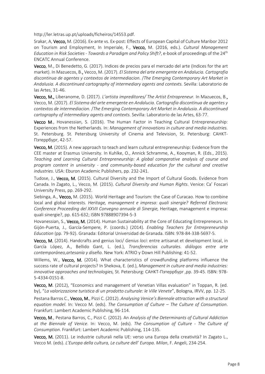http://ler.letras.up.pt/uploads/ficheiros/14553.pdf.

Srakar, A, Vecco, M. (2016). Ex-ante vs. Ex-post: Effects of European Capital of Culture Maribor 2012 on Tourism and Employment, In Imperiale, F., Vecco, M. (2016, eds.). *Cultural Management Education in Risk Societies - Towards a Paradigm and Policy Shift?*, e-book of proceedings of the 24th ENCATC Annual Conference.

Vecco, M., Di Benedetto, G. (2017). Indices de precios para el mercado del arte (Indices for the art market). In Mazuecos, B., Vecco, M. (2017). *El Sistema del arte emergente en Andalucia. Cartografia discontinua de agentes y contextos de intermediacion.* /*The Emerging Contemporary Art Market in Andalusia. A discontinued cartography of intermediary agents and contexts.* Sevilla: Laboratorio de las Artes, 31-46.

Vecco, M., Liberanome, D. (2017). *L'artista impreditores/ The Artist Entrapreneur.* In Mazuecos, B., Vecco, M. (2017). *El Sistema del arte emergente en Andalucia. Cartografia discontinua de agentes y contextos de intermediacion.* /*The Emerging Contemporary Art Market in Andalusia. A discontinued cartography of intermediary agents and contexts.* Sevilla: Laboratorio de las Artes, 63-77.

Vecco M., Hovanessian, S. (2016). The Human Factor in Teaching Cultural Entrepreneurship: Experiences from the Netherlands. In: *Management of innovations in culture and media industries.* St. Petersburg. St. Petersburg University of Cinema and Television, St. Petersburg: CAHKT-П϶террбурr, 42-57.

Vecco, M. (2015). A new approach to teach and learn cultural entrepreneurship: Evidence from the CEE master at Erasmus University. In Kuhlke, O., Annick Schramme, A., Kooyman, R. (Eds., 2015). *Teaching and Learning Cultural Entrepreneurship: A global comparative analysis of course and program content in university - and community-based education for the cultural and creative industries*. USA: Eburon Academic Publishers, pp. 232-241.

Tudose, J., Vecco, M. (2015). Cultural Diversity and the Import of Cultural Goods. Evidence from Canada. In Zagato, L., Vecco, M. (2015). *Cultural Diversity and Human Rights*. Venice: Ca' Foscari University Press, pp. 269-292.

Siebinga, A., Vecco, M. (2015). World Heritage and Tourism: the Case of Curacao. How to combine local and global interests. *Heritage, management e impresa: quali sinergie? Referred Electronic Conference Proceeding del XXVII Convegno annuale di Sinergie,* Heritage, management e impresa: quali sinergie?, pp. 615-632; ISBN 97888907394-5-3

Hovanessian, S., Vecco, M. (2014). Human Sustainability at the Core of Educating Entrepreneurs. In Gijón-Puerta, J., García-Sempere, P. (coords.) (2014). *Enabling Teachers for Entrepreneurship Education* (pp. 79-92). Granada: Editorial Universidad de Granada. ISBN: 978-84-338-5697-5.

Vecco, M. (2014). Handcrafts and genius loci/ *Genius loci*: entre artisanat et development local, in García López, A., Bellido Gant, L. (ed.), *Transferencias culturales. diálogos entre arte contemporáneo,artesanía y diseño.* New York: ATRIO y Down Hill Publishing: 41-52.

Willems, W., Vecco, M. (2014). What characteristics of crowdfunding platforms influence the success rate of cultural projects? In Shekova, E. (ed.), *Management in culture and media industries: innovative approaches and technologies,* St. Petersburg: CAHKT-П϶террбурr ,pp. 39-45. ISBN: 978- 5-4334-0151-8.

Vecco, M. (2012), "Economics and management of Venetian Villas evaluation" in Toppan, R. (ed. by), "*La valorizzazione turistica di un prodotto culturale: le Ville Venete*", Bologna, IRVV, pp. 12-25.

Pestana Barros C., Vecco, M., Pizzi C. (2012). *Analysing Venice's Biennale attraction with a structural equation model*. In: Vecco M. (eds). *The Consumption of Culture – The Culture of Consumption*. Frankfurt: Lambert Academic Publishing, 96-114.

Vecco, M., Pestana Barros, C., Pizzi C. (2012). An *Analysis of the Determinants of Cultural Addiction at the Biennale of Venice*. In: Vecco, M. (eds). *The Consumption of Culture - The Culture of Consumption*. Frankfurt: Lambert Academic Publishing, 114-135.

Vecco, M. (2011). Le industrie culturali nella UE: verso una Europa della creatività? In Zagato L., Vecco M. (eds). *L'Europa della cultura, Le culture dell' Europa. Milan*, F. Angeli, 234-254.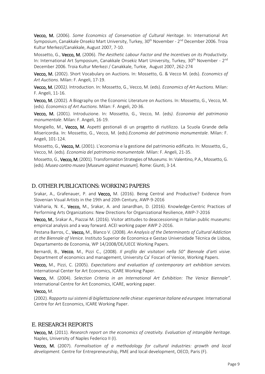Vecco, M. (2006). *Some Economics of Conservation of Cultural Heritage*. In: International Art Symposium, Canakkale Onsekiz Mart University, Turkey, 30<sup>th</sup> November - 2<sup>nd</sup> December 2006. Troia Kultur Merkezi/Canakkale, August 2007, 7-10.

Mossetto, G., Vecco, M. (2006). *The Aesthetic Labour Factor and the Incentives on its Productivity*. In: International Art Symposium, Canakkale Onsekiz Mart University, Turkey, 30<sup>th</sup> November - 2<sup>nd</sup> December 2006. Troia Kultur Merkezi / Canakkale, Turkie, August 2007, 262-274

Vecco, M. (2002). Short Vocabulary on Auctions. In: Mossetto, G. & Vecco M. (eds). *Economics of Art Auctions.* Milan: F. Angeli, 17-19.

Vecco, M. (2002*).* Introduction. In: Mossetto, G., Vecco, M. (eds). *Economics of Art Auctions*. Milan: F. Angeli, 11-16.

Vecco, M. (2002). A Biography on the Economic Literature on Auctions. In: Mossetto, G., Vecco, M. (eds). *Economics of Art Auctions*. Milan: F. Angeli, 20-36.

Vecco, M. (2001). Introduzione. In: Mossetto, G., Vecco, M. (eds*). Economia del patrimonio monumentale*. Milan: F. Angeli, 16-19.

Mongiello, M., Vecco, M. Aspetti gestionali di un progetto di riutilizzo. La Scuola Grande della Misericordia. In: Mossetto, G., Vecco, M. (eds)*.Economia del patrimonio monumentale*. Milan: F. Angeli, 101-124.

Mossetto, G., Vecco, M. (2001). L'economia e la gestione del patrimonio edificato. In: Mossetto, G., Vecco, M. (eds)*. Economia del patrimonio monumentale*. Milan: F. Angeli, 21-35.

Mossetto, G., Vecco, M. (2001). Transformation Strategies of Museum*s.* In: Valentino, P.A., Mossetto, G. (eds). *Museo contro museo* [*Museum against museum*]. Rome: Giunti, 3-14.

#### <span id="page-8-0"></span>D. OTHER PUBLICATIONS: WORKING PAPERS

Srakar, A., Grafenauer, P. and Vecco, M. (2016). Being Central and Productive? Evidence from Slovenian Visual Artists in the 19th and 20th Century[, AWP-9-2016](http://www.culturaleconomics.org/awp/AWP-09-2016.pdf) 

Vakharia, N. K., Vecco, M., Srakar, A. and Janardhan, D. (2016). Knowledge-Centric Practices of Performing Arts Organizations: New Directions for Organizational Resilience, [AWP-7-2016](http://www.culturaleconomics.org/awp/AWP-07-2016.pdf)

Vecco, M., Srakar A., Piazzai M. (2016). Visitor attitudes to deaccessioning in Italian public museums: empirical analysis and a way forward. ACEI working paper AWP 2-2016.

Pestana Barros, C., Vecco, M., Blanco V. (2008). *An Analysis of the Determinants of Cultural Addiction at the Biennale of Venice*. Instituto Superior de Economica e Gestao Universidade Técnica de Lisboa, Departamento de Economia, WP 14/2008/DE/UECE Working Papers.

Bernardi, B., Vecco, M., Pizzi C., (2008). *Il profilo dei visitatori nella 50° Biennale d'arti visive.*  Department of economics and management, University Ca' Foscari of Venice, Working Papers.

Vecco, M., Pizzi, C. (2005). *Expectations and evaluation of contemporary art exhibition services.* International Center for Art Economics, ICARE Working Paper.

Vecco, M. (2004). *Selection Criteria in an International Art Exhibition: The Venice Biennale"*. International Centre for Art Economics, ICARE, working paper.

#### Vecco, M.

(2002). *Rapporto sui sistemi di bigliettazione nelle chiese: esperienze italiane ed europee.* International Centre for Art Economics, ICARE Working Paper.

#### <span id="page-8-1"></span>E. RESEARCH REPORTS

Vecco, M. (2011). *Research report on the economics of creativity. Evaluation of intangible heritage.* Naples, University of Naples Federico II (I).

Vecco, M. (2007). *Formalisation of a methodology for cultural industries: growth and local development.* Centre for Entrepreneurship, PME and local development, OECD, Paris (F).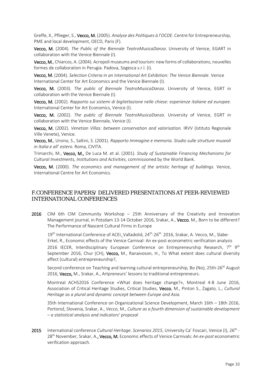Greffe, X., Pflieger, S., Vecco, M. (2005). *Analyse des Politiques à l'OCDE*. Centre for Entrepreneurship, PME and local development, OECD, Paris (F).

Vecco, M. (2004). *The Public of the Biennale TeatroMusicaDanza*. University of Venice, EGART in collaboration with the Venice Biennale (I).

Vecco, M., Chiarcos, A. (2004). Acropoli museums and tourism: new forms of collaborations, nouvelles formes de collaboration in Perugia. Padova, Sogesca s.r.l. (I).

Vecco, M. (2004). *Selection Criteria in an International Art Exhibition: The Venice Biennale*. Venice International Center for Art Economics and the Venice Biennale (I).

Vecco, M. (2003). *The public of Biennale TeatroMusicaDanza*. University of Venice, EGRT in collaboration with the Venice Biennale (I).

Vecco, M. (2002). *Rapporto sui sistemi di bigliettazione nelle chiese: esperienze italiane ed europee*. International Center for Art Economics, Venice (I).

Vecco, M. (2002). *The public of Biennale TeatroMusicaDanza*. University of Venice, EGRT in collaboration with the Venice Biennale, Venice (I).

Vecco, M. (2002). *Venetian Villas: between conservation and valorisation.* IRVV (Istituto Regionale Ville Venete), Venice.

Vecco, M., Ursino, S., Saltini, S. (2001). *Rapporto Immagine e memoria. Studio sulle strutture museali in Italia e all' estero*. Roma, CIVITA.

Trimarchi, M., Vecco, M., De Luca M. et al. (2001). *Study of Sustainable Financing Mechanisms for Cultural Investments, Institutions and Activities*, commissioned by the World Bank.

Vecco, M. (2000). *The economics and management of the artistic heritage of buildings.* Venice, International Centre for Art Economics.

# <span id="page-9-0"></span>F.CONFERENCE PAPERS/ DELIVERED PRESENTATIONS AT PEER-REVIEWED INTERNATIONAL CONFERENCES

2016 CIM 6th CIM Community Workshop - 25th Anniversary of the Creativity and Innovation Management journal, in Potsdam 13-14 October 2016, Srakar, A., Vecco, M., Born to be different? The Performance of Nascent Cultural Firms in Europe

19<sup>th</sup> International Conference of ACEI, Valladolid, 24<sup>th</sup>-26<sup>th</sup> 2016, Srakar, A. Vecco, M., Slabe-Erkel, R., Economic effects of the Venice Carnival: An ex-post econometric verification analysis 2016 IECER, Interdisciplinary European Conference on Entrepreneurship Research,  $7<sup>th</sup> 9<sup>th</sup>$ September 2016, Chur (CH), Vecco, M., Ranaivoson, H., To What extent does cultural diversity affect (cultural) entrepreneurship?,

Second conference on Teaching and learning cultural entrepreneurship, Bo (No), 25th-26<sup>th</sup> August 2016, Vecco, M., Srakar, A., Artpreneurs' lessons to traditional entrepreneurs.

Montreal ACHS2016 Conference «What does heritage change?», Montreal 4-8 June 2016, Association of Critical Heritage Studies, Critical Studies, Vecco, M., Pinton S., Zagato, L., *Cultural Heritage as a plural and dynamic concept between Europe and Asia.*

35th International Conference on Organizational Science Development, March 16th – 18th 2016, Portorož, Slovenia, Srakar, A., *Vecco*, M., *Culture as a fourth dimension of sustainable development – a statistical analysis and indicators' proposal*

2015 International conference *Cultural Heritage. Scenarios 2015*, University Ca' Foscari, Venice (I), 26<sup>th</sup> -28th November, Srakar, A., Vecco, M, Economic effects of Venice Carnivals: An *ex-post* econometric verification approach.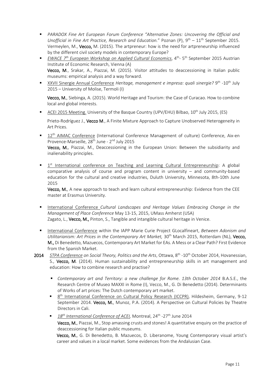- *PARADOX Fine Art European Forum Conference "Alternative Zones: Uncovering the Official and Unofficial in Fine Art Practice, Research and Education.*" Poznan (P), 9<sup>th</sup> – 11<sup>th</sup> September 2015. Vermeylen, M., Vecco, M. (2015). The artpreneur: how is the need for artpreneurship influenced by the different civil society models in contemporary Europe?
- *EWACE 7th European Workshop on Applied Cultural Economics*, 4th- 5th September 2015 Austrian Institute of Economic Research, Vienna (A) Vecco, M., Srakar, A., Piazzai, M. (2015). Visitor attitudes to deaccessioning in Italian public museums: empirical analysis and a way forward.
- XXVII Sinergie Annual Conference *Heritage, management e impresa: quali sinergie?* 9<sup>th</sup> -10<sup>th</sup> July 2015 – University of Molise, Termoli (I)

Vecco, M., Siebinga, A. (2015). World Heritage and Tourism: the Case of Curacao. How to combine local and global interests.

ACEI 2015 Meeting. University of the Basque Country (UPV/EHU) Bilbao, 10<sup>th</sup> July 2015, (ES)

Prieto-Rodríguez J., Vecco M., A Finite Mixture Approach to Capture Unobserved Heterogeneity in Art Prices.

<sup>12th</sup> AIMAC Conference (International Conference Management of culture) Conference, Aix-en Provence-Marseille, 28<sup>th</sup> June - 2<sup>nd</sup> July 2015

Vecco, M., Piazzai, M., Deaccessioning in the European Union: Between the subsidiarity and inalienability principles.

 $1<sup>st</sup>$  International conference on Teaching and Learning Cultural Entrepreneurship: A global comparative analysis of course and program content in university – and community-based education for the cultural and creative industries, Duluth University, Minnesota, 8th-10th June 2015

Vecco, M., A new approach to teach and learn cultural entrepreneurship: Evidence from the CEE master at Erasmus University.

- International Conference *Cultural Landscapes and Heritage Values Embracing Change in the Management of Place Conference* May 13-15, 2015, UMass Amherst (USA) Zagato, L., Vecco, M., Pinton, S., Tangible and intangible cultural heritage in Venice.
- International Conference within the IAPP Marie Curie Project GLocalfineart, *Between Adonism and*  Utilitarianism: Art Prices in the Contemporary Art Market, 30<sup>th</sup> March 2015, Rotterdam (NL), Vecco, M., Di Benedetto, Mazuecos, Contemporary Art Market for EAs. A Mess or a Clear Path? First Evidence from the Spanish Market.
- 2014 *STPA Conference on Social Theory, Politics and the Arts*, Ottawa, 8th -10th October 2014, Hovanessian, S., Vecco, M. (2014). Human sustainability and entrepreneurship skills in art management and education: How to combine research and practise?
	- *Contemporary art and Territory: a new challenge for Rome. 13th October 2014* B.A.S.E., the Research Centre of Museo MAXXI in Rome (I), Vecco, M., G. Di Benedetto (2014). Determinants of Works of art prices: The Dutch contemporary art market.
	- 8<sup>th</sup> International Conference on Cultural Policy Research (ICCPR), Hildesheim, Germany, 9-12 September 2014. Vecco, M., Munoz, P.A. (2014). A Perspective on Cultural Policies by Theatre Directors in Cali.
	- 18<sup>th</sup> International Conference of ACEI, Montreal, 24<sup>th</sup> -27<sup>th</sup> June 2014 Vecco, M., Piazzai, M., Stop amassing crusts and stones! A quantitative enquiry on the practice of deaccessioning for Italian public museums.

Vecco, M., G. Di Benedetto, B. Mazuecos, D. Liberanome, Young Contemporary visual artist's career and values in a local market. Some evidences from the Andalusian Case.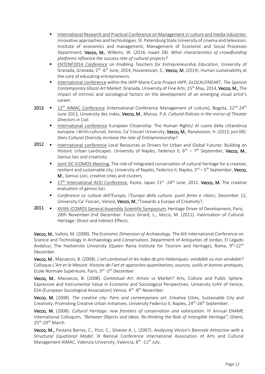- **International Research and Practical Conference on Management in culture and media industries:** innovative approaches and technologies. St. Petersburg State University of cinema and television; Institute of economics and management; Management of Economic and Social Processes Department. Vecco, M., Willems, W. (2014, maart 28). *What characteristics of crowdfunding platforms influence the success rate of cultural projects?*
- ENTENP2014 *Conference on Enabling Teachers for Entrepreneurship Education*, University of Granada, Granada, 5<sup>th</sup> -6<sup>th</sup> June, 2014, Hovanessian, S., Vecco, M. (2014). Human sustainability at the core of educating entrepreneurs.
- International conference within the IAPP Marie Curie Project IAPP, GLOCALFINEART, *The Spanish Contemporary Glocal Art Market*. Granada, University of Fine Arts, 15th May, 2014, Vecco, M., The impact of intrinsic and sociological factors on the development of an emerging visual artist's career.
- 2013 12<sup>th</sup> AIMAC Conference (International Conference Management of culture), Bogota, 22<sup>nd</sup>-24<sup>th</sup> June 2013, University des Indes, Vecco, M., Munoz, P.A. *Cultural Policies in the mirror of Theater Directors in Cali.*
	- International conference European Citizenship: The Human Rights/ Al cuore della cittandinza europea: i diritti culturali, Venice, Ca' Foscari University, Vecco, M., Ranaivoson, H. (2013, juni 04). *Does Cultural Diversity increase the rate of Entrepreneurship?*
- 2012 **III** International conference Local Resources as Drivers for Urban and Global Futures: Building on Historic Urban Landscapes. University of Naples, Federico II,  $6^{th}$  – 7<sup>th</sup> September, Vecco, M., Genius loci and creativity.
	- Joint ISC ICOMOS Meeting, The role of integrated conservation of cultural heritage for a creative, resilient and sustainable city, University of Naples, Federico II, Naples,  $3^{rd}$  –  $5^{th}$  September, Vecco, M., Genius Loci, creative cities and clusters.
	- $17<sup>th</sup>$  International ACEI Conference, Kyoto, Japan 21 $<sup>st</sup>$  -24<sup>th</sup> June, 2012. **Vecco, M.** The creative</sup> evaluation of genius loci.
	- *Conference Le culture dell'Europa, l'Europa della cultura: punti fermi e rilanci*, December 12, University Ca' Foscari, Venice, Vecco, M., "Towards a Europe of Creativity?,
- 2011  $\blacksquare$  XVIIth ICOMOS General Assembly Scientific Symposium, Heritage Driver of Development, Paris, 28th November-2nd December. Fusco Girard, L., Vecco, M. (2011). Valorisation of Cultural Heritage: Direct and Indirect Effects.

Vecco, M., Vallois, M. (2008). *The Economic Dimension of Archaeology.* The 6th International Conference on Science and Technology in Archaeology and Conservation, Department of Antiquities of Jordan, El Legado Andalusi, The Hashemite University (Queen Rania Institute for Tourism and Heritage), Rome, 9<sup>th</sup>-12<sup>th</sup> December.

Vecco, M., Mazuecos, B. (2008). *L'art contextuel et les index de prix hédoniques: vendable ou non vendable?* Colloque *L'Art et la Mesure. Histoire de l'art et approches quantitatives; sources, outils et bonnes pratiques*, Ecole Normale Supérieure, Paris, 3<sup>rd</sup> -5<sup>th</sup> December.

Vecco, M., Mazuecos, B. (2008). *Contextual Art: Artists vs Market?* Arts, Culture and Public Sphere. Expressive and Instrumental Value in Economic and Sociological Perspectives, University IUAV of Venice, ESA (European Sociological Association) Venice, 4<sup>th</sup> -8<sup>th</sup> November.

Vecco, M. (2008). *The creative city: Paris and contemporary art*. Creative Cities, Sustainable City and Creativity: Promoting Creative Urban Initiatives, University Federico II, Naples, 24<sup>th</sup>-26<sup>th</sup> September.

Vecco, M. (2008). *Cultural Heritage: new frontiers of conservation and valorization*. IV Annual ENAME International Colloquim, *"Between Objects and Ideas. Re-thinking the Role of Intangible Heritage",* Ghent, 25<sup>th</sup>-29<sup>th</sup> March.

Vecco, M., Pestana Barros, C., Pizzi, C., Silveste A. L. (2007). *Analysing Venice's Biennale Attraction with a Structural Equational Model*. IX Biennal Conference International Association of Arts and Cultural Management AIMAC, Valencia University, Valencia, 8<sup>th</sup> -11<sup>th</sup> July.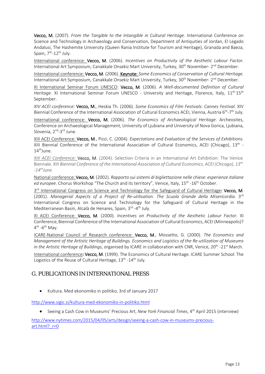Vecco, M. (2007). *From the Tangible to the Intangible in Cultural Heritage*. International Conference on Science and Technology in Archaeology and Conservation, Department of Antiquities of Jordan, El Legado Andalusi, The Hashemite University (Queen Rania Institute for Tourism and Heritage), Granada and Baeza, Spain, 7<sup>th</sup>-12<sup>th</sup> July.

International conference: Vecco, M. (2006). *Incentives on Productivity of the Aesthetic Labour Factor.* International Art Symposium, Canakkale Onsekiz Mart University, Turkey, 30<sup>th</sup> November- 2<sup>nd</sup> December.

International conference: Vecco, M. (2006). Keynote: *Some Economics of Conservation of Cultural Heritage.* International Art Symposium, Canakkale Onsekiz Mart University, Turkey, 30<sup>th</sup> November- 2<sup>nd</sup> December.

XI International Seminar Forum UNESCO: Vecco, M. (2006). *A Well-documented Definition of Cultural*  Heritage. XI International Seminar Forum UNESCO - University and Heritage, Florence, Italy, 11<sup>th-</sup>15<sup>th</sup> September.

*XIV ACEI conference:* Vecco, M., Heskia Th. (2006). *Some Economics of Film Festivals: Cannes Festival.* XIV Biennial Conference of the International Association of Cultural Economics ACEI, Vienna, Austria 6<sup>th</sup>-7<sup>th</sup> July.

International conference: Vecco, M. (2006). *The Economics of Archaeological Heritage*. Archeosites, Conference on Archaeological Management, University of Ljubiana and University of Nova Gorica, Ljubiana, Slovenia, 2<sup>nd</sup>-3<sup>rd</sup> June.

XIII ACEI Conference: Vecco, M., Pizzi, C. (2004). *Expectations and Evaluation of the Services of Exhibitions.* XIII Biennial Conference of the International Association of Cultural Economics, ACEI (Chicago),  $13<sup>th</sup>$  - $14^{\text{th}}$ June.

*XIII ACEI Conference:* Vecco, M. (2004). Selection Criteria in an International Art Exhibition: The Venice Biennale. *XIII Biennial Conference of the International Association of Cultural Economics, ACEI (Chicago), 13th*  $-14<sup>th</sup>$ *June.* 

National conference: Vecco, M. (2002). *Rapporto sui sistemi di bigliettazione nelle chiese: esperienze italiane ed europee*. Chorus Workshop "The Church and its territory", Venice, Italy, 15th -16th October.

3<sup>rd</sup> International Congress on Science and Technology for the Safeguard of Cultural Heritage: Vecco, M. (2001). *Managerial Aspects of a Project of Re-utilisation. The Scuola Grande della Misericordia.* 3<sup>rd</sup> International Congress on Science and Technology for the Safeguard of Cultural Heritage in the Mediterranean Basin, Alcalà de Henares, Spain, 3rd -4<sup>th</sup> July.

XI ACEI Conference: Vecco, M. (2000). *Incentives on Productivity of the Aesthetic Labour Factor.* XI Conference,Biennial Conference of the International Association of Cultural Economics, ACEI (Minneapolis)?  $4^{\text{th}}$  -6<sup>th</sup> May.

ICARE-National Council of Research conference: Vecco, M., Mossetto, G. (2000). *The Economics and Management of the Artistic Heritage of Buildings. Economics and Logistics of the Re-utilization of Museums in the Artistic Heritage of Buildings*, organised by ICARE in collaboration with CNR, Venice, 20<sup>th</sup> -21<sup>st</sup> March.

International conference: Vecco, M. (1999). The Economics of Cultural Heritage. ICARE Summer School: The Logistics of the Reuse of Cultural Heritage, 13<sup>th</sup> -14<sup>th</sup> July.

# <span id="page-12-0"></span>G. PUBLICATIONS IN INTERNATIONAL PRESS

• Kultura. Med ekonomiko in politiko, 3rd of January 2017

<http://www.sigic.si/kultura-med-ekonomiko-in-politiko.html>

• Seeing a Cash Cow in Museums' Precious Art, *New York Financial Times*, 4th April 2015 (interview)

[http://www.nytimes.com/2015/04/05/arts/design/seeing-a-cash-cow-in-museums-precious](http://www.nytimes.com/2015/04/05/arts/design/seeing-a-cash-cow-in-museums-precious-art.html?_r=0)art.html? r=0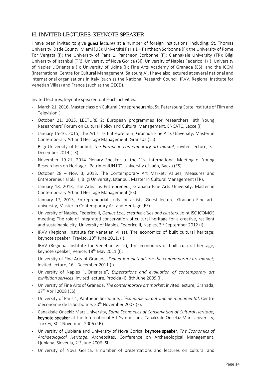# H. INVITED LECTURES, KEYNOTE SPEAKER

I have been invited to give guest lectures at a number of foreign institutions, including: St. Thomas University, Dade County, Miami (US); Université Paris 1 – Panthéon Sorbonne (F); the University of Rome Tor Vergata (I); the University of Paris 1, Pantheon Sorbonne (F); Ciannakale University (TR); Bilgi University of Istanbul (TR); University of Nova Gorica (SI); University of Naples Federico II (I); University of Naples L'Orientale (I); University of Udine (I); Fine Arts Academy of Granada (ES); and the ICCM (International Centre for Cultural Management, Salzburg A). I have also lectured at several national and international organisations in Italy (such as the National Research Council, IRVV, Regional Institute for Venetian Villas) and France (such as the OECD).

Invited lectures, keynote speaker, outreach activities:

- March 21, 2016, Master class on Cultural Entrepreneurship, St. Petersburg State Institute of Film and Television (
- October 21, 2015, LECTURE 2: European programmes for researchers; 8th Young Researchers' Forum on Cultural Policy and Cultural Management, ENCATC, Lecce (I)
- January 15-16, 2015, The Artist as Entrepreneur, Granada Fine Arts University, Master in Contemporary Art and Heritage Management, Granada (ES)
- Bilgi University of Istanbul, *The European contemporary art market*; invited lecture, 5th December 2014 (TR).
- November 19-21, 2014 Plenary Speaker to the "1st International Meeting of Young Researchers on Heritage - PatrimoniUN10". University of Jaén, Baeza (ES).
- October 28 Nov. 3, 2013, The Contemporary Art Market: Values, Measures and Entrepreneurial Skills, Bilgi University, Istanbul, Master in Cultural Management (TR).
- January 18, 2013, The Artist as Entrepreneur, Granada Fine Arts University, Master in Contemporary Art and Heritage Management (ES).
- January 17, 2013, Entrepreneurial skills for artists. Guest lecture. Granada Fine arts university, Master in Contemporary Art and Heritage (ES).
- University of Naples, Federico II, *Genius Loci, creative cities and clusters*. Joint ISC ICOMOS meeting; The role of integrated conservation of cultural heritage for a creative, resilient and sustainable city, University of Naples, Federico II, Naples,  $3<sup>rd</sup>$  September 2012 (I).
- IRVV (Regional Institute for Venetian Villas), The economics of built cultural heritage; keynote speaker, Treviso,  $10^{th}$  June 2011, (I).
- IRVV (Regional Institute for Venetian Villas), The economics of built cultural heritage; keynote speaker, Venice, 18<sup>th</sup> May 2011 (I).
- University of Fine Arts of Granada, *Evaluation methods on the contemporary art market*; invited lecture, 16<sup>th</sup> December 2011 (I).
- University of Naples "L'Orientale", *Expectations and evaluation of contemporary art exhibition services*; invited lecture, Procida (I), 8th June 2009 (I).
- University of Fine Arts of Granada, *The contemporary art market*; invited lecture, Granada, 17<sup>th</sup> April 2008 (ES).
- University of Paris 1, Pantheon Sorbonne, *L'économie du patrimoine monumental*, Centre d'économie de la Sorbonne, 20<sup>th</sup> November 2007 (F).
- Canakkale Onsekiz Mart University, *Some Economics of Conservation of Cultural Heritage;*  keynote speaker at the International Art Symposium, Canakkale Onsekiz Mart University, Turkey, 30<sup>th</sup> November 2006 (TR).
- University of Ljubiana and University of Nova Gorica, keynote speaker, *The Economics of Archaeological Heritage*. Archeosites, Conference on Archaeological Management, Ljubiana, Slovenia, 2<sup>nd</sup> June 2006 (SI).
- University of Nova Gorica, a number of presentations and lectures on cultural and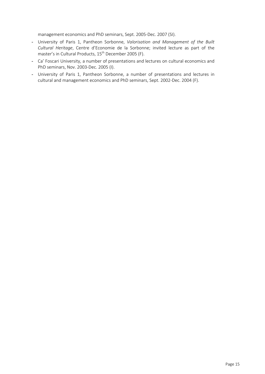management economics and PhD seminars, Sept. 2005-Dec. 2007 (SI).

- University of Paris 1, Pantheon Sorbonne, *Valorisation and Management of the Built Cultural Heritage*, Centre d'Economie de la Sorbonne; invited lecture as part of the master's in Cultural Products, 15th December 2005 (F).
- Ca' Foscari University, a number of presentations and lectures on cultural economics and PhD seminars, Nov. 2003-Dec. 2005 (I).
- <span id="page-14-0"></span>- University of Paris 1, Pantheon Sorbonne, a number of presentations and lectures in cultural and management economics and PhD seminars, Sept. 2002-Dec. 2004 (F).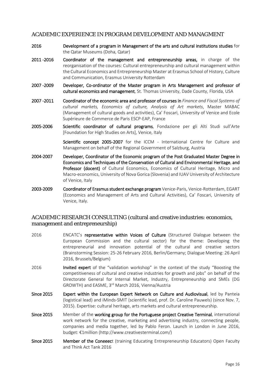# ACADEMIC EXPERIENCE IN PROGRAM DEVELOPMENT AND MANAGMENT

- 2016 Development of a program in Management of the arts and cultural institutions studies for the Qatar Museums (Doha, Qatar)
- 2011 -2016 Coordinator of the management and entrepreneurship areas, in charge of the reorganisation of the courses: Cultural entrepreneurship and cultural management within the Cultural Economics and Entrepreneurship Master at Erasmus School of History, Culture and Communication, Erasmus University Rotterdam
- 2007 -2009 Developer, Co-ordinator of the Master program in Arts Management and professor of cultural economics and management, St. Thomas University, Dade County, Florida, USA
- 2007 -2011 Coordinator of the economic area and professor of courses in *Finance and Fiscal Systems of cultural markets, Economics of culture, Analysis of Art markets*, Master MABAC (Management of cultural goods and activities), Ca' Foscari, University of Venice and Ecole Supérieure de Commerce de Paris ESCP-EAP, France
- 2005-2006 Scientific coordinator of cultural programs, Fondazione per gli Alti Studi sull'Arte [Foundation for High Studies on Arts], Venice, Italy

Scientific concept 2005-2007 for the ICCM - International Centre for Culture and Management on behalf of the Regional Government of Salzburg, Austria

- 2004-2007 Developer, Coordinator of the Economic program of the Post Graduated Master Degree in Economics and Techniques of the Conservation of Cultural and Environmental Heritage, and Professor (docent) of Cultural Economics, Economics of Cultural Heritage, Micro and Macro-economics, University of Nova Gorica (Slovenia) and IUAV University of Architecture of Venice, Italy
- 2003-2009 Coordinator of Erasmus student exchange program Venice-Paris, Venice-Rotterdam, EGART (Economics and Management of Arts and Cultural Activities), Ca' Foscari, University of Venice, Italy.

# <span id="page-15-0"></span>ACADEMIC RESEARCH CONSULTING (cultural and creative industries: economics, management and entrepreneurship)

- 2016 **ENCATC's representative within Voices of Culture** (Structured Dialogue between the European Commission and the cultural sector) for the theme: Developing the entrepreneurial and innovation potential of the cultural and creative sectors (Brainstorming Session: 25-26 February 2016, Berlin/Germany; Dialogue Meeting: 26 April 2016, Brussels/Belgium)
- 2016 **Invited expert** of the "validation workshop" in the context of the study "Boosting the competitiveness of cultural and creative industries for growth and jobs" on behalf of the Directorate General for Internal Market, Industry, Entrepreneurship and SMEs (DG GROWTH) and EASME, 3rd March 2016, Vienna/Austria
- Since 2015 Expert within the European Expert Network on Culture and Audiovisual, led by Panteia (logistical lead) and iMinds-SMIT (scientific lead, prof. Dr. Caroline Pauwels) (since Nov. 7, 2015). Expertise: cultural heritage, arts markets and cultural entrepreneurship.
- Since 2015 Member of the working group for the Portuguese project Creative Terminal, international work network for the creative, marketing and advertising industry, connecting people, companies and media together, led by Pablo Feron. Launch in London in June 2016, budget: €1million (http://www.creativesterminal.com/)
- Since 2015 Member of the Coneeect (training Educating Entrepreneurship Educators) Open Faculty and Think Act Tank 2016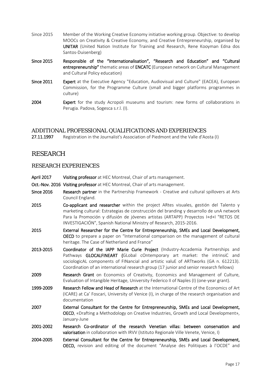- Since 2015 Member of the Working Creative Economy initiative working group. Objective: to develop MOOCs on Creativity & Creative Economy, and Creative Entrepreneurship, organised by UNITAR (United Nation Institute for Training and Research, Rene Kooyman Edna dos Santos-Duisenberg)
- Since 2015 Responsible of the "Internationalisation", "Research and Education" and "Cultural entrepreneurship" thematic areas of ENCATC (European network on Cultural Management and Cultural Policy education)
- Since 2011 Expert at the Executive Agency "Education, Audiovisual and Culture" (EACEA), European Commission, for the Programme Culture (small and bigger platforms programmes in culture)
- 2004 **Expert** for the study Acropoli museums and tourism: new forms of collaborations in Perugia. Padova, Sogesca s.r.l. (I).

# <span id="page-16-0"></span>ADDITIONAL PROFESSIONAL QUALIFICATIONS AND EXPERIENCES

<span id="page-16-1"></span>27.11.1997 Registration in the Journalist's Association of Piedmont and the Valle d'Aosta (I)

# RESEARCH

### <span id="page-16-2"></span>RESEARCH EXPERIENCES

- April 2017 Visiting professor at HEC Montreal, Chair of arts management.
- Oct.-Nov. 2016 Visiting professor at HEC Montreal, Chair of arts management.
- Since 2016 Research partner in the Partnership Framework Creative and cultural spillovers at Arts Council England.
- 2015 Co-applicant and researcher within the project ARtes visuales, gestión del Talento y marketing cultural: Estrategias de construcción del branding y desarrollo de unA network Para la Promoción y difusión de jóvenes artistas (ARTAPP) Proyectos I+d+I "RETOS DE INVESTIGACIÓN", Spanish National Ministry of Research, 2015-2016.
- 2015 External Researcher for the Centre for Entrepreneurship, SMEs and Local Development, OECD to prepare a paper on "International comparison on the management of cultural heritage. The Case of Netherland and France"
- 2013-2015 Coordinator of the IAPP Marie Curie Project (Industry-Accademia Partnerships and Pathways GLOCALFINEART (GLobal cOntemporary art market: the intrinsiC and sociologicAL components of FINancial and artistic valuE of ARTtworks (GA n. 612213). Coordination of an international research group (17 junior and senior research fellows)
- 2009 **Research Grant** on Economics of Creativity, Economics and Management of Culture, Evaluation of Intangible Heritage, University Federico II of Naples (I) (one-year grant).
- 1999-2009 Research Fellow and Head of Research at the International Centre of the Economics of Art (ICARE) at Ca' Foscari, University of Venice (I), in charge of the research organisation and documentation
- 2007 External Consultant for the Centre for Entrepreneurship, SMEs and Local Development, OECD, «Drafting a Methodology on Creative Industries, Growth and Local Development», January-June
- 2001-2002 Research Co-ordinator of the research Venetian villas: between conservation and valorisation in collaboration with IRVV (Istituto Regionale Ville Venete, Venice, I)
- 2004-2005 External Consultant for the Centre for Entrepreneurship, SMEs and Local Development, OECD, revision and editing of the document "Analyse des Politiques à l'OCDE" and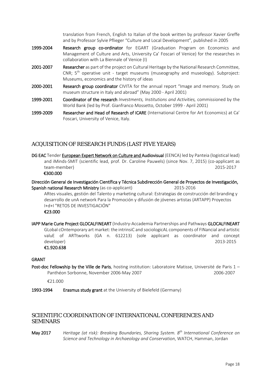translation from French, English to Italian of the book written by professor Xavier Greffe and by Professor Sylvie Pflieger "Culture and Local Development", published in 2005

- 1999-2004 Research group co-ordinator for EGART (Graduation Program on Economics and Management of Culture and Arts, University Ca' Foscari of Venice) for the researches in collaboration with La Biennale of Venice (I)
- 2001-2007 Researcher as part of the project on Cultural Heritage by the National Research Committee, CNR; 5<sup>th</sup> operative unit - target museums (museography and museology). Subproject: Museums, economics and the history of ideas
- 2000-2001 Research group coordinator CIVITA for the annual report "Image and memory. Study on museum structure in Italy and abroad" (May 2000 - April 2001)
- 1999-2001 Coordinator of the research *Investments, Institutions and Activities,* commissioned by the World Bank (led by Prof. Gianfranco Mossetto, October 1999 - April 2001)
- 1999-2009 Researcher and Head of Research of ICARE (International Centre for Art Economics) at Ca' Foscari, University of Venice, Italy.

# <span id="page-17-0"></span>ACQUISITION OF RESEARCH FUNDS (LAST FIVE YEARS)

DG EAC Tender European Expert Network on Culture and Audiovisual (EENCA) led by Panteia (logistical lead) and iMinds-SMIT (scientific lead, prof. Dr. Caroline Pauwels) (since Nov. 7, 2015) (co-applicant as team-member) 2015-2017

€300.000

Dirección General de Investigación Científica y Técnica Subdirección General de Proyectos de Investigación, Spanish national Research Ministry (as co-applicant) 2015-2016

ARtes visuales, gestión del Talento y marketing cultural: Estrategias de construcción del branding y desarrollo de unA network Para la Promoción y difusión de jóvenes artistas (ARTAPP) Proyectos I+d+I "RETOS DE INVESTIGACIÓN"

€23.000

IAPP Marie Curie Project GLOCALFINEART (Industry-Accademia Partnerships and Pathways GLOCALFINEART GLobal cOntemporary art market: the intrinsiC and sociologicAL components of FINancial and artistic valuE of ARTtworks (GA n. 612213) (sole applicant as coordinator and concept developer) 2013-2015 €1.920.638

#### GRANT

Post-doc Fellowship by the Ville de Paris, hosting institution: Laboratoire Matisse, Université de Paris 1 – Panthéon Sorbonne, November 2006-May 2007 2006-2007

€21.000

1993-1994 Erasmus study grant at the University of Bielefeld (Germany)

### <span id="page-17-1"></span>SCIENTIFIC COORDINATION OF INTERNATIONAL CONFERENCES AND SEMINARS

May 2017 *Heritage (at risk): Breaking Boundaries, Sharing System. 8th International Conference on Science and Technology in Archaeology and Conservation*, WATCH, Hamman, Jordan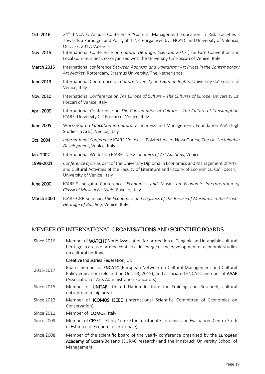| Oct. 2016         | 24 <sup>th</sup> ENCATC Annual Conference "Cultural Management Education in Risk Societies -<br>Towards a Paradigm and Policy Shift?, co-organised by ENCATC and University of Valencia,<br>Oct. 5-7, 2017, Valencia |  |
|-------------------|----------------------------------------------------------------------------------------------------------------------------------------------------------------------------------------------------------------------|--|
| Nov. 2015         | International Conference on Cultural Heritage. Scenario 2015 (The Faro Convention and<br>Local Communities), co-organised with the University Ca' Foscari of Venice, Italy                                           |  |
| <b>March 2015</b> | International conference Between Adonism and Utilitarism: Art Prices in the Contemporary<br>Art Market, Rotterdam, Erasmus University, The Netherlands                                                               |  |
| June 2013         | International Conference on Culture Diversity and Human Rights, University Ca' Foscari of<br>Venice, Italy                                                                                                           |  |
| Nov. 2010         | International Conference on The Europe of Culture - The Cultures of Europe, University Ca'<br>Foscari of Venice, Italy                                                                                               |  |
| April 2009        | International Conference on The Consumption of Culture - The Culture of Consumption,<br>ICARE, University Ca' Foscari of Venice, Italy                                                                               |  |
| <b>June 2005</b>  | Workshop on Education in Cultural Economics and Management, Foundation ASA (High<br>Studies in Arts), Venice, Italy                                                                                                  |  |
| Oct. 2004         | International Conference ICARE-Venexia - Polytechnic of Nova Gorica, The Un-Sustainable<br>Development, Venice, Italy                                                                                                |  |
| Jan. 2002         | International Workshop ICARE, The Economics of Art Auctions, Venice                                                                                                                                                  |  |
| 1999-2001         | Conference cycle as part of the University Diploma in Economics and Management of Arts<br>and Cultural Activities of the Faculty of Literature and Faculty of Economics, Ca' Foscari,<br>University of Venice, Italy |  |
| <b>June 2000</b>  | ICARE-Sichelgaita Conference, Economics and Music: an Economic Interpretation of<br>Classical Musical Festivals, Ravello, Italy                                                                                      |  |
| March 2000        | ICARE-CNR Seminar, The Economics and Logistics of the Re-use of Museums in the Artistic                                                                                                                              |  |

March 2000 ICARE-CNR Seminar, *The Economics and Logistics of the Re-use of Museums in the Artistic Heritage of Building,* Venice, Italy.

# <span id="page-18-0"></span>MEMBER OF INTERNATIONAL ORGANISATIONS AND SCIENTIFIC BOARDS

Since 2016 Member of WATCH (World Association for protection of Tangible and intangible cultural heritage in areas of armed conflicts), in charge of the development of economic studies on cultural heritage

#### Creative Industries Federation, UK

- 2015-2017 Board member of ENCATC (European Network on Cultural Management and Cultural Policy education) (elected on Oct. 23, 2015), and associated ENCATC member of AAAE (Association of Arts Administration Educators)
- Since 2015 Member of UNITAR (United Nation Institute for Training and Research, cultural entrepreneurship area)
- Since 2012 Member of ICOMOS ISCEC (International Scientific Committee of Economics on Conservation)
- Since 2011 Member of ICOMOS, Italy
- Since 2009 Member of CESET Study Centre for Territorial Economics and Evaluation (Centro Studi di Estimo e di Economia Territoriale)
- Since 2008 Member of the scientific board of the yearly conference organised by the European Academy of Bozen-Bolzano (EURAC research) and the Innsbruck University School of Management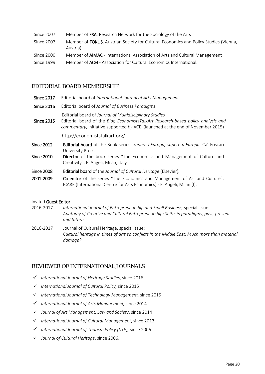| Since 2007 | Member of <b>ESA</b> , Research Network for the Sociology of the Arts                                    |
|------------|----------------------------------------------------------------------------------------------------------|
| Since 2002 | Member of <b>FOKUS</b> , Austrian Society for Cultural Economics and Policy Studies (Vienna,<br>Austria) |
| Since 2000 | Member of <b>AIMAC</b> - International Association of Arts and Cultural Management                       |

Since 1999 Member of ACEI - Association for Cultural Economics International.

# <span id="page-19-0"></span>EDITORIAL BOARD MEMBERSHIP

- Since 2017 Editorial board of *International Journal of Arts Management*
- Since 2016 Editorial board of *Journal of Business Paradigms*
	- Editorial board of *Journal of Multidisciplinary Studies*
- Since 2015 Editorial board of the *Blog EconomistsTalkArt Research-based policy analysis and commentary*, initiative supported *by* ACEI (launched at the end of November 2015)

http://economiststalkart.org/

- Since 2012 Editorial board of the Book series: *Sapere l'Europa, sapere d'Europa*, Ca' Foscari University Press.
- Since 2010 Director of the book series "The Economics and Management of Culture and Creativity", F. Angeli, Milan, Italy
- Since 2008 Editorial board of the *Journal of Cultural Heritage* (Elsevier)*.*
- 2001-2009 Co-editor of the series "The Economics and Management of Art and Culture", ICARE (International Centre for Arts Economics) - F. Angeli, Milan (I).

#### Invited Guest Editor:

- 2016-2017 *International Journal of Entrepreneurship and Small Business,* special issue: *Anatomy of Creative and Cultural Entrepreneurship: Shifts in paradigms, past, present and future*
- 2016-2017 Journal of Cultural Heritage, special issue: *Cultural heritage in times of armed conflicts in the Middle East: Much more than material damage?*

# <span id="page-19-1"></span>REVIEWER OF INTERNATIONAL JOURNALS

- *International Journal of Heritage Studies*, since 2016
- *International Journal of Cultural Policy,* since 2015
- *International Journal of Technology Management,* since 2015
- *International Journal of Arts Management,* since 2014
- *Journal of Art Management, Law and Society*, since 2014
- *International Journal of Cultural Management*, since 2013
- *International Journal of Tourism Policy (IJTP),* since 2006
- *Journal of Cultural Heritage*, since 2006.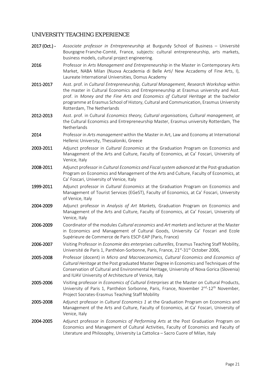# <span id="page-20-0"></span>UNIVERSITY TEACHING EXPERIENCE

| 2017 (Oct.) - | Associate professor in Entrepreneurship at Burgundy School of Business - Université<br>Bourgogne Franche-Comté, France, subjects: cultural entrepreneurship, arts markets,<br>business models, cultural project engineering.                                                                                                                                                                    |
|---------------|-------------------------------------------------------------------------------------------------------------------------------------------------------------------------------------------------------------------------------------------------------------------------------------------------------------------------------------------------------------------------------------------------|
| 2016          | Professor in Arts Management and Entrepreneurship in the Master in Contemporary Arts<br>Market, NABA Milan (Nuova Accademia di Belle Arti/ New Accademy of Fine Arts, I),<br>Laureate International Universities, Domus Academy                                                                                                                                                                 |
| 2011-2017     | Asst. prof. in Cultural Entrepreneurship, Cultural Management, Research Workshop within<br>the master in Cultural Economics and Entrepreneurship at Erasmus university and Asst.<br>prof. in Money and the Fine Arts and Economics of Cultural Heritage at the bachelor<br>programme at Erasmus School of History, Cultural and Communication, Erasmus University<br>Rotterdam, The Netherlands |
| 2012-2013     | Asst. prof. in Cultural Economics theory, Cultural organisations, Cultural management, at<br>the Cultural Economics and Entrepreneurship Master, Erasmus university Rotterdam, The<br>Netherlands                                                                                                                                                                                               |
| 2014          | Professor in Arts management within the Master in Art, Law and Economy at International<br>Hellenic University, Thessaloniki, Greece                                                                                                                                                                                                                                                            |
| 2003-2011     | Adjunct professor in Cultural Economics at the Graduation Program on Economics and<br>Management of the Arts and Culture, Faculty of Economics, at Ca' Foscari, University of<br>Venice, Italy                                                                                                                                                                                                  |
| 2008-2011     | Adjunct professor in Cultural Economics and Fiscal system advanced at the Post-graduation<br>Program on Economics and Management of the Arts and Culture, Faculty of Economics, at<br>Ca' Foscari, University of Venice, Italy                                                                                                                                                                  |
| 1999-2011     | Adjunct professor in Cultural Economics at the Graduation Program on Economics and<br>Management of Tourist Services (EGeST), Faculty of Economics, at Ca' Foscari, University<br>of Venice, Italy                                                                                                                                                                                              |
| 2004-2009     | Adjunct professor in Analysis of Art Markets, Graduation Program on Economics and<br>Management of the Arts and Culture, Faculty of Economics, at Ca' Foscari, University of<br>Venice, Italy                                                                                                                                                                                                   |
| 2006-2009     | Coordinator of the modules Cultural economics and Art markets and lecturer at the Master<br>in Economics and Management of Cultural Goods, University Ca' Foscari and Ecole<br>Supérieure de Commerce de Paris ESCP-EAP (Paris, France)                                                                                                                                                         |
| 2006-2007     | Visiting Professor in Economie des enterprises culturelles, Erasmus Teaching Staff Mobility,<br>Université de Paris 1, Panthéon-Sorbonne, Paris, France, 21 <sup>st</sup> -31 <sup>st</sup> October 2006,                                                                                                                                                                                       |
| 2005-2008     | Professor (docent) in Micro and Macroeconomics, Cultural Economics and Economics of<br>Cultural Heritage at the Post graduated Master Degree in Economics and Techniques of the<br>Conservation of Cultural and Environmental Heritage, University of Nova Gorica (Slovenia)<br>and IUAV University of Architecture of Venice, Italy                                                            |
| 2005-2006     | Visiting professor in <i>Economics of Cultural Enterprises</i> at the Master on Cultural Products,<br>University of Paris 1, Panthéon Sorbonne, Paris, France, November 2 <sup>nd</sup> -12 <sup>th</sup> November,<br>Project Socrates-Erasmus Teaching Staff Mobility                                                                                                                         |
| 2005-2008     | Adjunct professor in Cultural Economics 1 at the Graduation Program on Economics and<br>Management of the Arts and Culture, Faculty of Economics, at Ca' Foscari, University of<br>Venice, Italy                                                                                                                                                                                                |
| 2004-2005     | Adjunct professor in <i>Economics of Performing Arts</i> at the Post Graduation Program on<br>Economics and Management of Cultural Activities, Faculty of Economics and Faculty of<br>Literature and Philosophy, University La Cattolica - Sacro Cuore of Milan, Italy                                                                                                                          |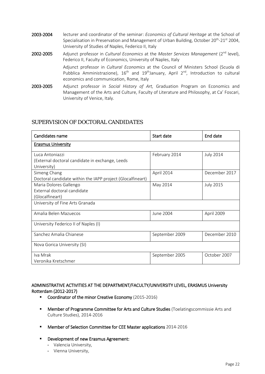| 2003-2004 | lecturer and coordinator of the seminar: <i>Economics of Cultural Heritage</i> at the School of<br>Specialisation in Preservation and Management of Urban Building, October 20 <sup>th</sup> -21 <sup>st</sup> 2004,<br>University of Studies of Naples, Federico II, Italy |
|-----------|-----------------------------------------------------------------------------------------------------------------------------------------------------------------------------------------------------------------------------------------------------------------------------|
| 2002-2005 | Adjunct professor in Cultural Economics at the Master Services Management (2 <sup>nd</sup> level),<br>Federico II, Faculty of Economics, University of Naples, Italy                                                                                                        |
|           | Adjunct professor in Cultural Economics at the Council of Ministers School (Scuola di<br>Pubblica Amministrazione), $16th$ and $19th$ January, April $2nd$ , Introduction to cultural<br>economics and communication, Rome, Italy                                           |
| 2003-2005 | Adjunct professor in Social History of Art, Graduation Program on Economics and<br>Management of the Arts and Culture, Faculty of Literature and Philosophy, at Ca' Foscari,<br>University of Venice, Italy.                                                                |

# <span id="page-21-0"></span>SUPERVISION OF DOCTORAL CANDIDATES

| Candidates name                                            | Start date     | End date         |  |
|------------------------------------------------------------|----------------|------------------|--|
| <b>Erasmus University</b>                                  |                |                  |  |
| Luca Antoniazzi                                            | February 2014  | <b>July 2014</b> |  |
| (External doctoral candidate in exchange, Leeds            |                |                  |  |
| University)                                                |                |                  |  |
| Simeng Chang                                               | April 2014     | December 2017    |  |
| Doctoral candidate within the IAPP project (Glocalfineart) |                |                  |  |
| Maria Dolores Gallengo                                     | May 2014       | <b>July 2015</b> |  |
| External doctoral candidate                                |                |                  |  |
| (Glocalfineart)                                            |                |                  |  |
| University of Fine Arts Granada                            |                |                  |  |
| Amalia Belen Mazuecos                                      | June 2004      | April 2009       |  |
| University Federico II of Naples (I)                       |                |                  |  |
| Sanchez Amalia Chianese                                    | September 2009 | December 2010    |  |
| Nova Gorica University (SI)                                |                |                  |  |
| Iva Mrak                                                   | September 2005 | October 2007     |  |
| Veronika Kretschmer                                        |                |                  |  |

### ADMINISTRATIVE ACTIVITIES AT THE DEPARTMENT/FACULTY/UNIVERSITY LEVEL, ERASMUS University Rotterdam (2012-2017)

- Coordinator of the minor Creative Economy (2015-2016)
- **Member of Programme Committee for Arts and Culture Studies** (Toelatingscommissie Arts and Culture Studies), 2014-2016
- **Member of Selection Committee for CEE Master applications 2014-2016**
- **Development of new Erasmus Agreement:** 
	- Valencia University,
	- Vienna University,